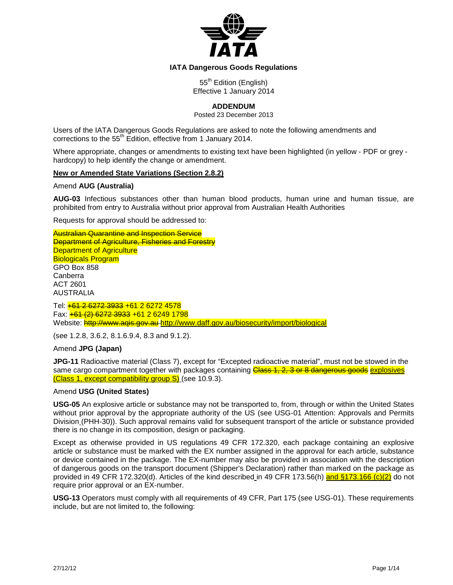

### **IATA Dangerous Goods Regulations**

55<sup>th</sup> Edition (English) Effective 1 January 2014

# **ADDENDUM**

Posted 23 December 2013

Users of the IATA Dangerous Goods Regulations are asked to note the following amendments and corrections to the 55<sup>th</sup> Edition, effective from 1 January 2014.

Where appropriate, changes or amendments to existing text have been highlighted (in yellow - PDF or grey hardcopy) to help identify the change or amendment.

#### **New or Amended State Variations (Section 2.8.2)**

#### Amend **AUG (Australia)**

**AUG-03** Infectious substances other than human blood products, human urine and human tissue, are prohibited from entry to Australia without prior approval from Australian Health Authorities

Requests for approval should be addressed to:

Australian Quarantine and Inspection Service **Department of Agriculture, Fisheries and Forestry Department of Agriculture** Biologicals Program GPO Box 858 Canberra ACT 2601 AUSTRALIA Tel: +61 2 6272 3933 +61 2 6272 4578 Fax: +61 (2) 6272 3933 +61 2 6249 1798

Website: http://www.aqis.gov.au <http://www.daff.gov.au/biosecurity/import/biological>

(see 1.2.8, 3.6.2, 8.1.6.9.4, 8.3 and 9.1.2).

#### Amend **JPG (Japan)**

**JPG-11** Radioactive material (Class 7), except for "Excepted radioactive material", must not be stowed in the same cargo compartment together with packages containing Class 1, 2, 3 or 8 dangerous goods explosives (Class 1, except compatibility group S) (see 10.9.3).

#### Amend **USG (United States)**

**USG-05** An explosive article or substance may not be transported to, from, through or within the United States without prior approval by the appropriate authority of the US (see USG-01 Attention: Approvals and Permits Division (PHH-30)). Such approval remains valid for subsequent transport of the article or substance provided there is no change in its composition, design or packaging.

Except as otherwise provided in US regulations 49 CFR 172.320, each package containing an explosive article or substance must be marked with the EX number assigned in the approval for each article, substance or device contained in the package. The EX-number may also be provided in association with the description of dangerous goods on the transport document (Shipper's Declaration) rather than marked on the package as provided in 49 CFR 172.320(d). Articles of the kind described in 49 CFR 173.56(h) and §173.166 (c)(2) do not require prior approval or an EX-number.

**USG-13** Operators must comply with all requirements of 49 CFR, Part 175 (see USG-01). These requirements include, but are not limited to, the following: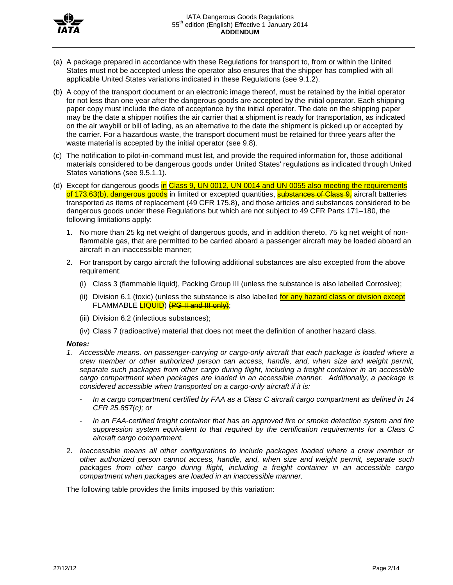

- (a) A package prepared in accordance with these Regulations for transport to, from or within the United States must not be accepted unless the operator also ensures that the shipper has complied with all applicable United States variations indicated in these Regulations (see 9.1.2).
- (b) A copy of the transport document or an electronic image thereof, must be retained by the initial operator for not less than one year after the dangerous goods are accepted by the initial operator. Each shipping paper copy must include the date of acceptance by the initial operator. The date on the shipping paper may be the date a shipper notifies the air carrier that a shipment is ready for transportation, as indicated on the air waybill or bill of lading, as an alternative to the date the shipment is picked up or accepted by the carrier. For a hazardous waste, the transport document must be retained for three years after the waste material is accepted by the initial operator (see 9.8).
- (c) The notification to pilot-in-command must list, and provide the required information for, those additional materials considered to be dangerous goods under United States' regulations as indicated through United States variations (see 9.5.1.1).
- (d) Except for dangerous goods in Class 9, UN 0012, UN 0014 and UN 0055 also meeting the requirements of 173.63(b), dangerous goods in limited or excepted quantities, **substances of Class 9**, aircraft batteries transported as items of replacement (49 CFR 175.8), and those articles and substances considered to be dangerous goods under these Regulations but which are not subject to 49 CFR Parts 171–180, the following limitations apply:
	- 1. No more than 25 kg net weight of dangerous goods, and in addition thereto, 75 kg net weight of nonflammable gas, that are permitted to be carried aboard a passenger aircraft may be loaded aboard an aircraft in an inaccessible manner;
	- 2. For transport by cargo aircraft the following additional substances are also excepted from the above requirement:
		- (i) Class 3 (flammable liquid), Packing Group III (unless the substance is also labelled Corrosive);
		- (ii) Division 6.1 (toxic) (unless the substance is also labelled for any hazard class or division except FLAMMABLE LIQUID) (PG II and III only);
		- (iii) Division 6.2 (infectious substances);
		- (iv) Class 7 (radioactive) material that does not meet the definition of another hazard class.

### *Notes:*

- *1. Accessible means, on passenger-carrying or cargo-only aircraft that each package is loaded where a crew member or other authorized person can access, handle, and, when size and weight permit, separate such packages from other cargo during flight, including a freight container in an accessible cargo compartment when packages are loaded in an accessible manner. Additionally, a package is considered accessible when transported on a cargo-only aircraft if it is:*
	- *In a cargo compartment certified by FAA as a Class C aircraft cargo compartment as defined in 14 CFR 25.857(c); or*
	- *In an FAA-certified freight container that has an approved fire or smoke detection system and fire suppression system equivalent to that required by the certification requirements for a Class C aircraft cargo compartment.*
- 2. *Inaccessible means all other configurations to include packages loaded where a crew member or other authorized person cannot access, handle, and, when size and weight permit, separate such packages from other cargo during flight, including a freight container in an accessible cargo compartment when packages are loaded in an inaccessible manner.*

The following table provides the limits imposed by this variation: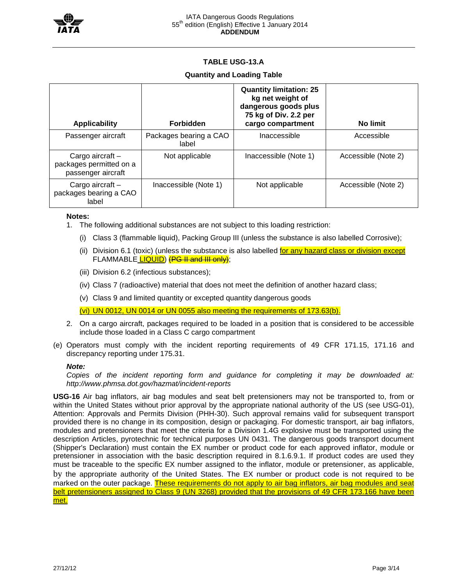

# **TABLE USG-13.A**

## **Quantity and Loading Table**

| <b>Applicability</b>                                              | <b>Forbidden</b>                | <b>Quantity limitation: 25</b><br>kg net weight of<br>dangerous goods plus<br>75 kg of Div. 2.2 per<br>cargo compartment | No limit            |  |  |  |
|-------------------------------------------------------------------|---------------------------------|--------------------------------------------------------------------------------------------------------------------------|---------------------|--|--|--|
| Passenger aircraft                                                | Packages bearing a CAO<br>label | Inaccessible                                                                                                             | Accessible          |  |  |  |
| Cargo aircraft -<br>packages permitted on a<br>passenger aircraft | Not applicable                  | Inaccessible (Note 1)                                                                                                    | Accessible (Note 2) |  |  |  |
| Cargo aircraft $-$<br>packages bearing a CAO<br>label             | Inaccessible (Note 1)           | Not applicable                                                                                                           | Accessible (Note 2) |  |  |  |

#### **Notes:**

- 1. The following additional substances are not subject to this loading restriction:
	- (i) Class 3 (flammable liquid), Packing Group III (unless the substance is also labelled Corrosive);
	- (ii) Division 6.1 (toxic) (unless the substance is also labelled for any hazard class or division except FLAMMABLE **LIQUID**) (PG II and III only);
	- (iii) Division 6.2 (infectious substances);
	- (iv) Class 7 (radioactive) material that does not meet the definition of another hazard class;
	- (v) Class 9 and limited quantity or excepted quantity dangerous goods

(vi) UN 0012, UN 0014 or UN 0055 also meeting the requirements of 173.63(b).

- 2. On a cargo aircraft, packages required to be loaded in a position that is considered to be accessible include those loaded in a Class C cargo compartment
- (e) Operators must comply with the incident reporting requirements of 49 CFR 171.15, 171.16 and discrepancy reporting under 175.31.

### *Note:*

*Copies of the incident reporting form and guidance for completing it may be downloaded at: http://www.phmsa.dot.gov/hazmat/incident-reports*

**USG-16** Air bag inflators, air bag modules and seat belt pretensioners may not be transported to, from or within the United States without prior approval by the appropriate national authority of the US (see USG-01), Attention: Approvals and Permits Division (PHH-30). Such approval remains valid for subsequent transport provided there is no change in its composition, design or packaging. For domestic transport, air bag inflators, modules and pretensioners that meet the criteria for a Division 1.4G explosive must be transported using the description Articles, pyrotechnic for technical purposes UN 0431. The dangerous goods transport document (Shipper's Declaration) must contain the EX number or product code for each approved inflator, module or pretensioner in association with the basic description required in 8.1.6.9.1. If product codes are used they must be traceable to the specific EX number assigned to the inflator, module or pretensioner, as applicable, by the appropriate authority of the United States. The EX number or product code is not required to be marked on the outer package. These requirements do not apply to air bag inflators, air bag modules and seat belt pretensioners assigned to Class 9 (UN 3268) provided that the provisions of 49 CFR 173.166 have been met.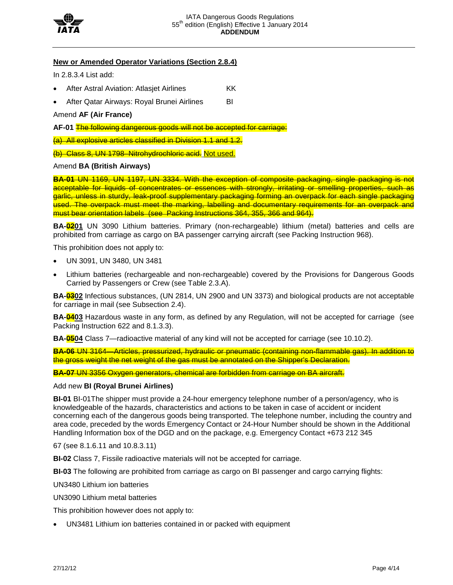

# **New or Amended Operator Variations (Section 2.8.4)**

In 2.8.3.4 List add:

- After Astral Aviation: Atlasjet Airlines KK
- After Qatar Airways: Royal Brunei Airlines BI

Amend **AF (Air France)**

**AF-01** The following dangerous goods will not be accepted for carriage:

(a) All explosive articles classified in Division 1.1 and 1.2.

(b) Class 8, UN 1798–Nitrohydrochloric acid. Not used.

#### Amend **BA (British Airways)**

**BA-01** UN 1169, UN 1197, UN 3334. With the exception of composite packaging, single packaging is not acceptable for liquids of concentrates or essences with strongly, irritating or smelling properties, such as garlic, unless in sturdy, leak-proof supplementary packaging forming an overpack for each single packaging used. The overpack must meet the marking, labelling and documentary requirements for an overpack and must bear orientation labels (see Packing Instructions 364, 355, 366 and 964).

**BA-0201** UN 3090 Lithium batteries. Primary (non-rechargeable) lithium (metal) batteries and cells are prohibited from carriage as cargo on BA passenger carrying aircraft (see Packing Instruction 968).

This prohibition does not apply to:

- UN 3091, UN 3480, UN 3481
- Lithium batteries (rechargeable and non-rechargeable) covered by the Provisions for Dangerous Goods Carried by Passengers or Crew (see Table 2.3.A).

**BA-0302** Infectious substances, (UN 2814, UN 2900 and UN 3373) and biological products are not acceptable for carriage in mail (see Subsection 2.4).

**BA-0403** Hazardous waste in any form, as defined by any Regulation, will not be accepted for carriage (see Packing Instruction 622 and 8.1.3.3).

**BA-0504** Class 7—radioactive material of any kind will not be accepted for carriage (see 10.10.2).

**BA-06** UN 3164—Articles, pressurized, hydraulic or pneumatic (containing non-flammable gas). In addition to the gross weight the net weight of the gas must be annotated on the Shipper's Declaration.

**BA-07** UN 3356 Oxygen generators, chemical are forbidden from carriage on BA aircraft.

#### Add new **BI (Royal Brunei Airlines)**

**BI-01** BI-01The shipper must provide a 24-hour emergency telephone number of a person/agency, who is knowledgeable of the hazards, characteristics and actions to be taken in case of accident or incident concerning each of the dangerous goods being transported. The telephone number, including the country and area code, preceded by the words Emergency Contact or 24-Hour Number should be shown in the Additional Handling Information box of the DGD and on the package, e.g. Emergency Contact +673 212 345

67 (see 8.1.6.11 and 10.8.3.11)

**BI-02** Class 7, Fissile radioactive materials will not be accepted for carriage.

**BI-03** The following are prohibited from carriage as cargo on BI passenger and cargo carrying flights:

UN3480 Lithium ion batteries

UN3090 Lithium metal batteries

This prohibition however does not apply to:

• UN3481 Lithium ion batteries contained in or packed with equipment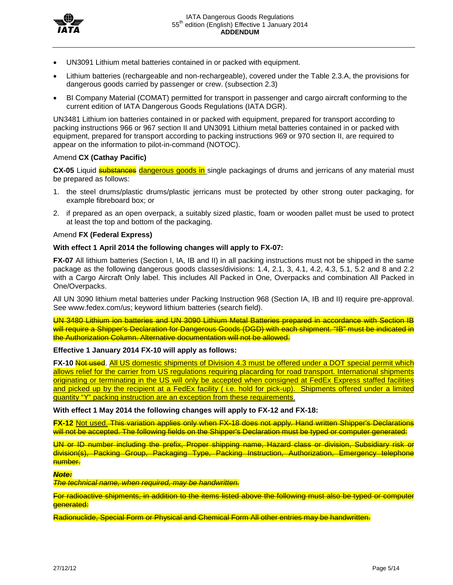

- UN3091 Lithium metal batteries contained in or packed with equipment.
- Lithium batteries (rechargeable and non-rechargeable), covered under the Table 2.3.A, the provisions for dangerous goods carried by passenger or crew. (subsection 2.3)
- BI Company Material (COMAT) permitted for transport in passenger and cargo aircraft conforming to the current edition of IATA Dangerous Goods Regulations (IATA DGR).

UN3481 Lithium ion batteries contained in or packed with equipment, prepared for transport according to packing instructions 966 or 967 section II and UN3091 Lithium metal batteries contained in or packed with equipment, prepared for transport according to packing instructions 969 or 970 section II, are required to appear on the information to pilot-in-command (NOTOC).

# Amend **CX (Cathay Pacific)**

CX-05 Liquid **substances** dangerous goods in single packagings of drums and jerricans of any material must be prepared as follows:

- 1. the steel drums/plastic drums/plastic jerricans must be protected by other strong outer packaging, for example fibreboard box; or
- 2. if prepared as an open overpack, a suitably sized plastic, foam or wooden pallet must be used to protect at least the top and bottom of the packaging.

# Amend **FX (Federal Express)**

# **With effect 1 April 2014 the following changes will apply to FX-07:**

**FX-07** All lithium batteries (Section I, IA, IB and II) in all packing instructions must not be shipped in the same package as the following dangerous goods classes/divisions: 1.4, 2.1, 3, 4.1, 4.2, 4.3, 5.1, 5.2 and 8 and 2.2 with a Cargo Aircraft Only label. This includes All Packed in One, Overpacks and combination All Packed in One/Overpacks.

All UN 3090 lithium metal batteries under Packing Instruction 968 (Section IA, IB and II) require pre-approval. See www.fedex.com/us; keyword lithium batteries (search field).

UN 3480 Lithium ion batteries and UN 3090 Lithium Metal Batteries prepared in accordance with Section IB will require a Shipper's Declaration for Dangerous Goods (DGD) with each shipment. "IB" must be indicated in the Authorization Column. Alternative documentation will not be allowed.

### **Effective 1 January 2014 FX-10 will apply as follows:**

**FX-10** Not used. All US domestic shipments of Division 4.3 must be offered under a DOT special permit which allows relief for the carrier from US regulations requiring placarding for road transport. International shipments originating or terminating in the US will only be accepted when consigned at FedEx Express staffed facilities and picked up by the recipient at a FedEx facility ( i.e. hold for pick-up). Shipments offered under a limited quantity "Y" packing instruction are an exception from these requirements.

**With effect 1 May 2014 the following changes will apply to FX-12 and FX-18:**

**FX-12** Not used. This variation applies only when FX-18 does not apply. Hand written Shipper's Declarations will not be accepted. The following fields on the Shipper's Declaration must be typed or computer generated:

UN or ID number including the prefix, Proper shipping name, Hazard class or division, Subsidiary risk or division(s), Packing Group, Packaging Type, Packing Instruction, Authorization, Emergency telephone number.

### *Note:*

*The technical name, when required, may be handwritten.* 

For radioactive shipments, in addition to the items listed above the following must also be typed or computer generated:

Radionuclide, Special Form or Physical and Chemical Form All other entries may be handwritten.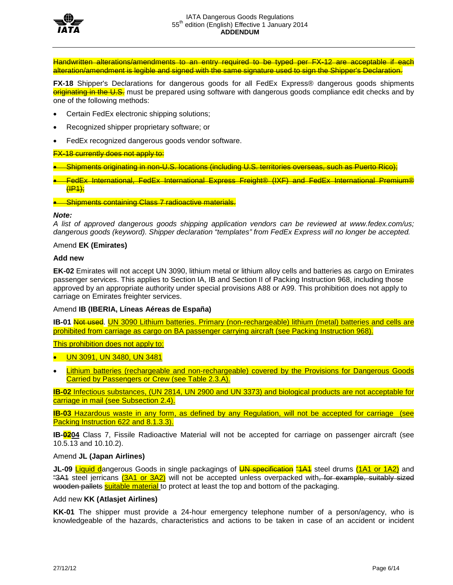

Handwritten alterations/amendments to an entry required to be typed per FX-12 are acceptable if each alteration/amendment is legible and signed with the same signature used to sign the Shipper's Declaration.

**FX-18** Shipper's Declarations for dangerous goods for all FedEx Express<sup>®</sup> dangerous goods shipments originating in the U.S. must be prepared using software with dangerous goods compliance edit checks and by one of the following methods:

- Certain FedEx electronic shipping solutions;
- Recognized shipper proprietary software; or
- FedEx recognized dangerous goods vendor software.

#### **FX-18 currently does not apply to:**

- Shipments originating in non-U.S. locations (including U.S. territories overseas, such as Puerto Rico);
- **•** FedEx International, FedEx International Express Freight® (IXF) and FedEx International Premium® (IP1);

#### **• Shipments containing Class 7 radioactive materials.**

#### *Note:*

*A list of approved dangerous goods shipping application vendors can be reviewed at www.fedex.com/us; dangerous goods (keyword). Shipper declaration "templates" from FedEx Express will no longer be accepted.*

#### Amend **EK (Emirates)**

#### **Add new**

**EK-02** Emirates will not accept UN 3090, lithium metal or lithium alloy cells and batteries as cargo on Emirates passenger services. This applies to Section IA, IB and Section II of Packing Instruction 968, including those approved by an appropriate authority under special provisions A88 or A99. This prohibition does not apply to carriage on Emirates freighter services.

### Amend **IB (IBERIA, Líneas Aéreas de España)**

**IB-01** Not used. UN 3090 Lithium batteries. Primary (non-rechargeable) lithium (metal) batteries and cells are prohibited from carriage as cargo on BA passenger carrying aircraft (see Packing Instruction 968).

This prohibition does not apply to:

• UN 3091, UN 3480, UN 3481

Lithium batteries (rechargeable and non-rechargeable) covered by the Provisions for Dangerous Goods Carried by Passengers or Crew (see Table 2.3.A).

**IB-02** Infectious substances, (UN 2814, UN 2900 and UN 3373) and biological products are not acceptable for carriage in mail (see Subsection 2.4).

**IB-03** Hazardous waste in any form, as defined by any Regulation, will not be accepted for carriage (see Packing Instruction 622 and 8.1.3.3).

**IB-0204** Class 7, Fissile Radioactive Material will not be accepted for carriage on passenger aircraft (see 10.5.13 and 10.10.2).

#### Amend **JL (Japan Airlines)**

**JL-09 Liquid dangerous Goods in single packagings of <b>UN specification** "1A1 steel drums (1A1 or 1A2) and "3A1 steel jerricans (3A1 or 3A2) will not be accepted unless overpacked with, for example, suitably sized wooden pallets suitable material to protect at least the top and bottom of the packaging.

### Add new **KK (Atlasjet Airlines)**

**KK-01** The shipper must provide a 24-hour emergency telephone number of a person/agency, who is knowledgeable of the hazards, characteristics and actions to be taken in case of an accident or incident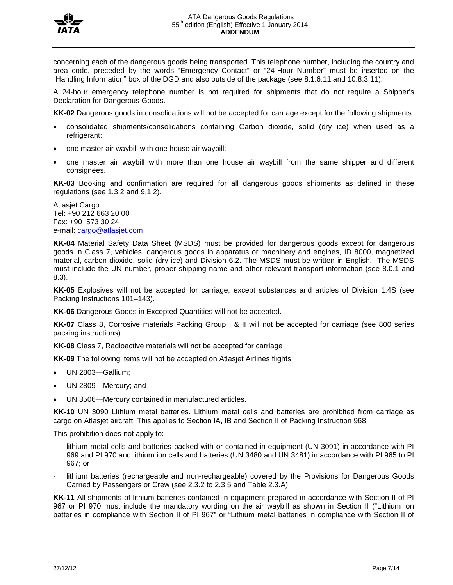

concerning each of the dangerous goods being transported. This telephone number, including the country and area code, preceded by the words "Emergency Contact" or "24-Hour Number" must be inserted on the "Handling Information" box of the DGD and also outside of the package (see 8.1.6.11 and 10.8.3.11).

A 24-hour emergency telephone number is not required for shipments that do not require a Shipper's Declaration for Dangerous Goods.

**KK-02** Dangerous goods in consolidations will not be accepted for carriage except for the following shipments:

- consolidated shipments/consolidations containing Carbon dioxide, solid (dry ice) when used as a refrigerant;
- one master air waybill with one house air waybill;
- one master air waybill with more than one house air waybill from the same shipper and different consignees.

**KK-03** Booking and confirmation are required for all dangerous goods shipments as defined in these regulations (see 1.3.2 and 9.1.2).

Atlasjet Cargo: Tel: +90 212 663 20 00 Fax: +90 573 30 24 e-mail: [cargo@atlasjet.com](mailto:cargo@atlasjet.com)

**KK-04** Material Safety Data Sheet (MSDS) must be provided for dangerous goods except for dangerous goods in Class 7, vehicles, dangerous goods in apparatus or machinery and engines, ID 8000, magnetized material, carbon dioxide, solid (dry ice) and Division 6.2. The MSDS must be written in English. The MSDS must include the UN number, proper shipping name and other relevant transport information (see 8.0.1 and 8.3).

**KK-05** Explosives will not be accepted for carriage, except substances and articles of Division 1.4S (see Packing Instructions 101–143).

**KK-06** Dangerous Goods in Excepted Quantities will not be accepted.

**KK-07** Class 8, Corrosive materials Packing Group I & II will not be accepted for carriage (see 800 series packing instructions).

**KK-08** Class 7, Radioactive materials will not be accepted for carriage

**KK-09** The following items will not be accepted on Atlasjet Airlines flights:

- UN 2803—Gallium;
- UN 2809—Mercury; and
- UN 3506—Mercury contained in manufactured articles.

**KK-10** UN 3090 Lithium metal batteries. Lithium metal cells and batteries are prohibited from carriage as cargo on Atlasjet aircraft. This applies to Section IA, IB and Section II of Packing Instruction 968.

This prohibition does not apply to:

- lithium metal cells and batteries packed with or contained in equipment (UN 3091) in accordance with PI 969 and PI 970 and lithium ion cells and batteries (UN 3480 and UN 3481) in accordance with PI 965 to PI 967; or
- lithium batteries (rechargeable and non-rechargeable) covered by the Provisions for Dangerous Goods Carried by Passengers or Crew (see 2.3.2 to 2.3.5 and Table 2.3.A).

**KK-11** All shipments of lithium batteries contained in equipment prepared in accordance with Section II of PI 967 or PI 970 must include the mandatory wording on the air waybill as shown in Section II ("Lithium ion batteries in compliance with Section II of PI 967" or "Lithium metal batteries in compliance with Section II of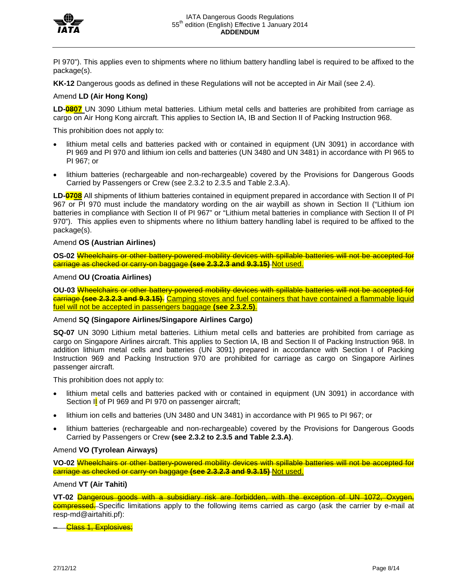

PI 970"). This applies even to shipments where no lithium battery handling label is required to be affixed to the package(s).

**KK-12** Dangerous goods as defined in these Regulations will not be accepted in Air Mail (see 2.4).

#### Amend **LD (Air Hong Kong)**

LD-**0807** UN 3090 Lithium metal batteries. Lithium metal cells and batteries are prohibited from carriage as cargo on Air Hong Kong aircraft. This applies to Section IA, IB and Section II of Packing Instruction 968.

This prohibition does not apply to:

- lithium metal cells and batteries packed with or contained in equipment (UN 3091) in accordance with PI 969 and PI 970 and lithium ion cells and batteries (UN 3480 and UN 3481) in accordance with PI 965 to PI 967; or
- lithium batteries (rechargeable and non-rechargeable) covered by the Provisions for Dangerous Goods Carried by Passengers or Crew (see 2.3.2 to 2.3.5 and Table 2.3.A).

**LD-0708** All shipments of lithium batteries contained in equipment prepared in accordance with Section II of PI 967 or PI 970 must include the mandatory wording on the air waybill as shown in Section II ("Lithium ion batteries in compliance with Section II of PI 967" or "Lithium metal batteries in compliance with Section II of PI 970"). This applies even to shipments where no lithium battery handling label is required to be affixed to the package(s).

#### Amend **OS (Austrian Airlines)**

**OS-02** Wheelchairs or other battery-powered mobility devices with spillable batteries will not be accepted for carriage as checked or carry-on baggage **(see 2.3.2.3 and 9.3.15)** Not used.

### Amend **OU (Croatia Airlines)**

**OU-03** Wheelchairs or other battery-powered mobility devices with spillable batteries will not be accepted for carriage **(see 2.3.2.3 and 9.3.15)**. Camping stoves and fuel containers that have contained a flammable liquid fuel will not be accepted in passengers baggage **(see 2.3.2.5)**.

#### Amend **SQ (Singapore Airlines/Singapore Airlines Cargo)**

**SQ-07** UN 3090 Lithium metal batteries. Lithium metal cells and batteries are prohibited from carriage as cargo on Singapore Airlines aircraft. This applies to Section IA, IB and Section II of Packing Instruction 968. In addition lithium metal cells and batteries (UN 3091) prepared in accordance with Section I of Packing Instruction 969 and Packing Instruction 970 are prohibited for carriage as cargo on Singapore Airlines passenger aircraft.

This prohibition does not apply to:

- lithium metal cells and batteries packed with or contained in equipment (UN 3091) in accordance with Section Il of PI 969 and PI 970 on passenger aircraft;
- lithium ion cells and batteries (UN 3480 and UN 3481) in accordance with PI 965 to PI 967; or
- lithium batteries (rechargeable and non-rechargeable) covered by the Provisions for Dangerous Goods Carried by Passengers or Crew **(see 2.3.2 to 2.3.5 and Table 2.3.A)**.

#### Amend **VO (Tyrolean Airways)**

**VO-02** Wheelchairs or other battery-powered mobility devices with spillable batteries will not be accepted for carriage as checked or carry-on baggage **(see 2.3.2.3 and 9.3.15)** Not used.

#### Amend **VT (Air Tahiti)**

**VT-02** Dangerous goods with a subsidiary risk are forbidden, with the exception of UN 1072, Oxygen, compressed. Specific limitations apply to the following items carried as cargo (ask the carrier by e-mail at resp-md@airtahiti.pf):

– Class 1, Explosives;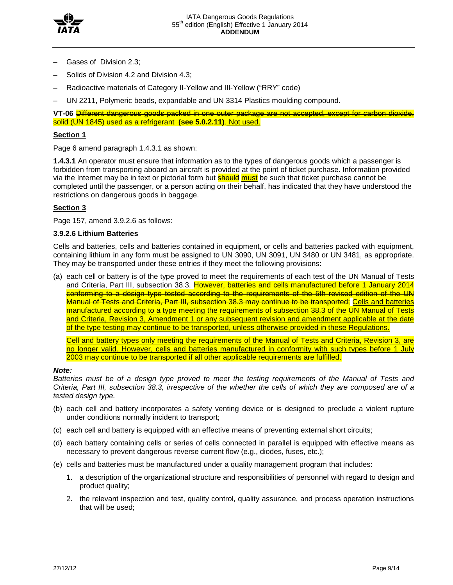

- Gases of Division 2.3;
- Solids of Division 4.2 and Division 4.3;
- Radioactive materials of Category II-Yellow and III-Yellow ("RRY" code)
- UN 2211, Polymeric beads, expandable and UN 3314 Plastics moulding compound.

**VT-06** Different dangerous goods packed in one outer package are not accepted, except for carbon dioxide, solid (UN 1845) used as a refrigerant **(see 5.0.2.11)**. Not used.

### **Section 1**

Page 6 amend paragraph 1.4.3.1 as shown:

**1.4.3.1** An operator must ensure that information as to the types of dangerous goods which a passenger is forbidden from transporting aboard an aircraft is provided at the point of ticket purchase. Information provided via the Internet may be in text or pictorial form but **should must** be such that ticket purchase cannot be completed until the passenger, or a person acting on their behalf, has indicated that they have understood the restrictions on dangerous goods in baggage.

# **Section 3**

Page 157, amend 3.9.2.6 as follows:

### **3.9.2.6 Lithium Batteries**

Cells and batteries, cells and batteries contained in equipment, or cells and batteries packed with equipment, containing lithium in any form must be assigned to UN 3090, UN 3091, UN 3480 or UN 3481, as appropriate. They may be transported under these entries if they meet the following provisions:

(a) each cell or battery is of the type proved to meet the requirements of each test of the UN Manual of Tests and Criteria, Part III, subsection 38.3. However, batteries and cells manufactured before 1 January 2014 conforming to a design type tested according to the requirements of the 5th revised edition of the UN Manual of Tests and Criteria, Part III, subsection 38.3 may continue to be transported; Cells and batteries manufactured according to a type meeting the requirements of subsection 38.3 of the UN Manual of Tests and Criteria, Revision 3, Amendment 1 or any subsequent revision and amendment applicable at the date of the type testing may continue to be transported, unless otherwise provided in these Regulations.

Cell and battery types only meeting the requirements of the Manual of Tests and Criteria, Revision 3, are no longer valid. However, cells and batteries manufactured in conformity with such types before 1 July 2003 may continue to be transported if all other applicable requirements are fulfilled.

### *Note:*

*Batteries must be of a design type proved to meet the testing requirements of the Manual of Tests and Criteria, Part III, subsection 38.3, irrespective of the whether the cells of which they are composed are of a tested design type.* 

- (b) each cell and battery incorporates a safety venting device or is designed to preclude a violent rupture under conditions normally incident to transport;
- (c) each cell and battery is equipped with an effective means of preventing external short circuits;
- (d) each battery containing cells or series of cells connected in parallel is equipped with effective means as necessary to prevent dangerous reverse current flow (e.g., diodes, fuses, etc.);
- (e) cells and batteries must be manufactured under a quality management program that includes:
	- 1. a description of the organizational structure and responsibilities of personnel with regard to design and product quality;
	- 2. the relevant inspection and test, quality control, quality assurance, and process operation instructions that will be used;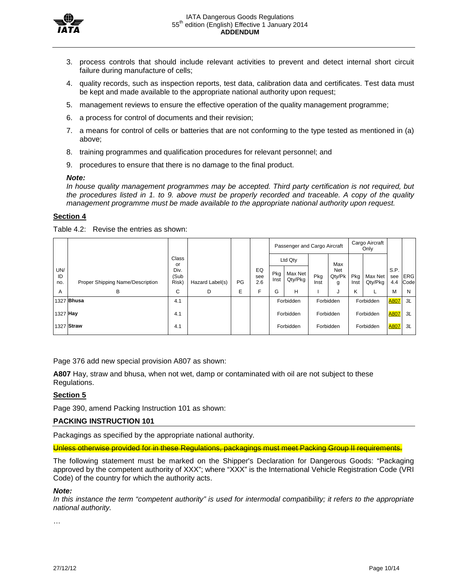

- 3. process controls that should include relevant activities to prevent and detect internal short circuit failure during manufacture of cells;
- 4. quality records, such as inspection reports, test data, calibration data and certificates. Test data must be kept and made available to the appropriate national authority upon request;
- 5. management reviews to ensure the effective operation of the quality management programme;
- 6. a process for control of documents and their revision;
- 7. a means for control of cells or batteries that are not conforming to the type tested as mentioned in (a) above;
- 8. training programmes and qualification procedures for relevant personnel; and
- 9. procedures to ensure that there is no damage to the final product.

#### *Note:*

*In house quality management programmes may be accepted. Third party certification is not required, but the procedures listed in 1. to 9. above must be properly recorded and traceable. A copy of the quality management programme must be made available to the appropriate national authority upon request.*

### **Section 4**

Table 4.2: Revise the entries as shown:

|                  |                                  |                       |                 |    |                  |             |                    |             | Passenger and Cargo Aircraft |             | Cargo Aircraft<br>Only |                    |                    |
|------------------|----------------------------------|-----------------------|-----------------|----|------------------|-------------|--------------------|-------------|------------------------------|-------------|------------------------|--------------------|--------------------|
|                  |                                  | Class<br>or           |                 |    |                  |             | Ltd Qty            |             | Max                          |             |                        |                    |                    |
| UN/<br>ID<br>no. | Proper Shipping Name/Description | Div.<br>(Sub<br>Risk) | Hazard Label(s) | PG | EQ<br>see<br>2.6 | Pkg<br>Inst | Max Net<br>Qty/Pkg | Pkg<br>Inst | Net<br>Qty/Pk<br>g           | Pkg<br>Inst | Max Net<br>Qty/Pkg     | S.P.<br>see<br>4.4 | <b>ERG</b><br>Code |
| A                | В                                | С                     | D               | E  | F                | G           | н                  |             | J                            | Κ           |                        | M                  | N                  |
|                  | 1327 <b>Bhusa</b>                |                       | 4.1             |    |                  | Forbidden   |                    | Forbidden   |                              | Forbidden   |                        | <b>A807</b>        | 3L                 |
|                  | 1327 Hay                         |                       | 4.1             |    |                  |             | Forbidden          |             | Forbidden                    |             | Forbidden              |                    | <b>A807</b><br>3L  |
|                  | 1327 Straw                       |                       | 4.1             |    |                  | Forbidden   |                    | Forbidden   |                              | Forbidden   |                        | <b>A807</b>        | 3L                 |

Page 376 add new special provision A807 as shown:

**A807** Hay, straw and bhusa, when not wet, damp or contaminated with oil are not subject to these Regulations.

### **Section 5**

Page 390, amend Packing Instruction 101 as shown:

### **PACKING INSTRUCTION 101**

Packagings as specified by the appropriate national authority.

Unless otherwise provided for in these Regulations, packagings must meet Packing Group II requirements.

The following statement must be marked on the Shipper's Declaration for Dangerous Goods: "Packaging approved by the competent authority of XXX"; where "XXX" is the International Vehicle Registration Code (VRI Code) of the country for which the authority acts.

#### *Note:*

In this instance the term "competent authority" is used for intermodal compatibility; it refers to the appropriate *national authority.*

…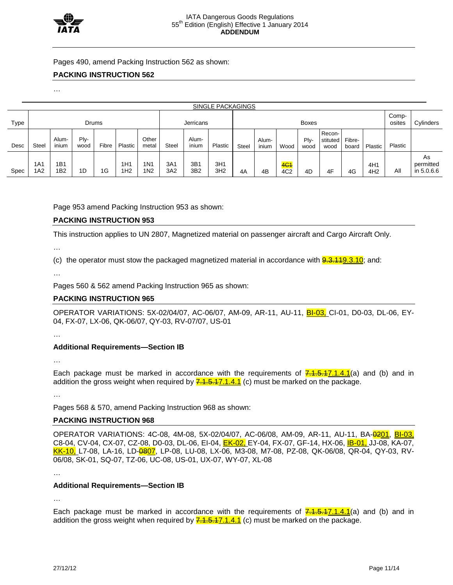

Pages 490, amend Packing Instruction 562 as shown:

### **PACKING INSTRUCTION 562**

…

| SINGLE PACKAGINGS |            |                        |              |       |                        |                                     |              |                        |                        |              |                |                                    |              |                            |                 |                        |         |                               |
|-------------------|------------|------------------------|--------------|-------|------------------------|-------------------------------------|--------------|------------------------|------------------------|--------------|----------------|------------------------------------|--------------|----------------------------|-----------------|------------------------|---------|-------------------------------|
| Type              | Drums      |                        |              |       | Jerricans              |                                     |              | <b>Boxes</b>           |                        |              |                |                                    |              |                            | Comp-<br>osites | Cylinders              |         |                               |
| Desc              | Steel      | Alum-<br>inium         | Ply-<br>wood | Fibre | Plastic                | Other<br>metal                      | <b>Steel</b> | Alum-<br>inium         | Plastic                | <b>Steel</b> | Alum-<br>inium | Wood                               | Plv-<br>wood | Recon-<br>stituted<br>wood | Fibre-<br>board | Plastic                | Plastic |                               |
| Spec              | 1A1<br>1A2 | 1B1<br>1 <sub>B2</sub> | 1D           | 1G    | 1H1<br>1H <sub>2</sub> | 1 <sub>N</sub> 1<br>1N <sub>2</sub> | 3A1<br>3A2   | 3B1<br>3B <sub>2</sub> | 3H1<br>3H <sub>2</sub> | 4A           | 4B             | 4 <del>C1</del><br>4C <sub>2</sub> | 4D           | 4F                         | 4G              | 4H1<br>4H <sub>2</sub> | All     | As<br>permitted<br>in 5.0.6.6 |

Page 953 amend Packing Instruction 953 as shown:

### **PACKING INSTRUCTION 953**

This instruction applies to UN 2807, Magnetized material on passenger aircraft and Cargo Aircraft Only.

…

(c) the operator must stow the packaged magnetized material in accordance with  $9.3.149.3.10$ ; and:

…

Pages 560 & 562 amend Packing Instruction 965 as shown:

### **PACKING INSTRUCTION 965**

OPERATOR VARIATIONS: 5X-02/04/07, AC-06/07, AM-09, AR-11, AU-11, BI-03, CI-01, D0-03, DL-06, EY-04, FX-07, LX-06, QK-06/07, QY-03, RV-07/07, US-01

…

# **Additional Requirements—Section IB**

…

Each package must be marked in accordance with the requirements of  $\frac{7.1.5.17.1.4.1}{2}$ (a) and (b) and in addition the gross weight when required by  $\frac{7.1.5.47.1.4.1}{2}$  (c) must be marked on the package.

…

Pages 568 & 570, amend Packing Instruction 968 as shown:

### **PACKING INSTRUCTION 968**

OPERATOR VARIATIONS: 4C-08, 4M-08, 5X-02/04/07, AC-06/08, AM-09, AR-11, AU-11, BA-<mark>02<u>01</u>, <u>BI-03,</u></mark> C8-04, CV-04, CX-07, CZ-08, D0-03, DL-06, EI-04, EK-02, EY-04, FX-07, GF-14, HX-06, IB-01, JJ-08, KA-07, KK-10, L7-08, LA-16, LD-<mark>0807</mark>, LP-08, LU-08, LX-06, M3-08, M7-08, PZ-08, QK-06/08, QR-04, QY-03, RV-06/08, SK-01, SQ-07, TZ-06, UC-08, US-01, UX-07, WY-07, XL-08

…

### **Additional Requirements—Section IB**

…

Each package must be marked in accordance with the requirements of  $\frac{7.1.5.17.1.4.1}{2}$ (a) and (b) and in addition the gross weight when required by  $\frac{7.1.5.17.1.4.1}{2}$  (c) must be marked on the package.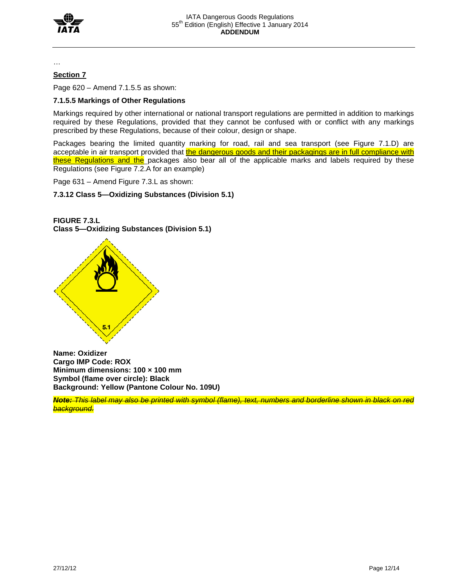

…

# **Section 7**

Page 620 – Amend 7.1.5.5 as shown:

# **7.1.5.5 Markings of Other Regulations**

Markings required by other international or national transport regulations are permitted in addition to markings required by these Regulations, provided that they cannot be confused with or conflict with any markings prescribed by these Regulations, because of their colour, design or shape.

Packages bearing the limited quantity marking for road, rail and sea transport (see Figure 7.1.D) are acceptable in air transport provided that the dangerous goods and their packagings are in full compliance with these Regulations and the packages also bear all of the applicable marks and labels required by these Regulations (see Figure 7.2.A for an example)

Page 631 – Amend Figure 7.3.L as shown:

**7.3.12 Class 5—Oxidizing Substances (Division 5.1)** 



**FIGURE 7.3.L Class 5—Oxidizing Substances (Division 5.1)**

**Name: Oxidizer Cargo IMP Code: ROX Minimum dimensions: 100 × 100 mm Symbol (flame over circle): Black Background: Yellow (Pantone Colour No. 109U)** 

*Note: This label may also be printed with symbol (flame), text, numbers and borderline shown in black on red background.*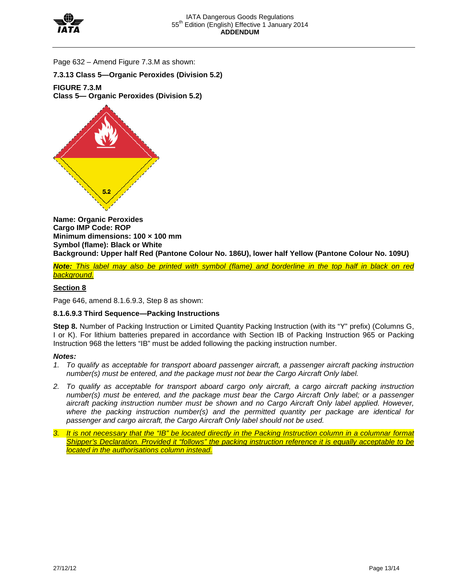

Page 632 – Amend Figure 7.3.M as shown:

**7.3.13 Class 5—Organic Peroxides (Division 5.2)** 

**FIGURE 7.3.M Class 5— Organic Peroxides (Division 5.2)**



**Name: Organic Peroxides Cargo IMP Code: ROP Minimum dimensions: 100 × 100 mm Symbol (flame): Black or White Background: Upper half Red (Pantone Colour No. 186U), lower half Yellow (Pantone Colour No. 109U)**

*Note: This label may also be printed with symbol (flame) and borderline in the top half in black on red background.*

# **Section 8**

Page 646, amend 8.1.6.9.3, Step 8 as shown:

### **8.1.6.9.3 Third Sequence—Packing Instructions**

**Step 8.** Number of Packing Instruction or Limited Quantity Packing Instruction (with its "Y" prefix) (Columns G, I or K). For lithium batteries prepared in accordance with Section IB of Packing Instruction 965 or Packing Instruction 968 the letters "IB" must be added following the packing instruction number.

#### *Notes:*

- 1. To qualify as acceptable for transport aboard passenger aircraft, a passenger aircraft packing instruction *number(s) must be entered, and the package must not bear the Cargo Aircraft Only label.*
- *2. To qualify as acceptable for transport aboard cargo only aircraft, a cargo aircraft packing instruction number(s) must be entered, and the package must bear the Cargo Aircraft Only label; or a passenger aircraft packing instruction number must be shown and no Cargo Aircraft Only label applied. However, where the packing instruction number(s) and the permitted quantity per package are identical for passenger and cargo aircraft, the Cargo Aircraft Only label should not be used.*
- *3. It is not necessary that the "IB" be located directly in the Packing Instruction column in a columnar format Shipper's Declaration. Provided it "follows" the packing instruction reference it is equally acceptable to be located in the authorisations column instead.*